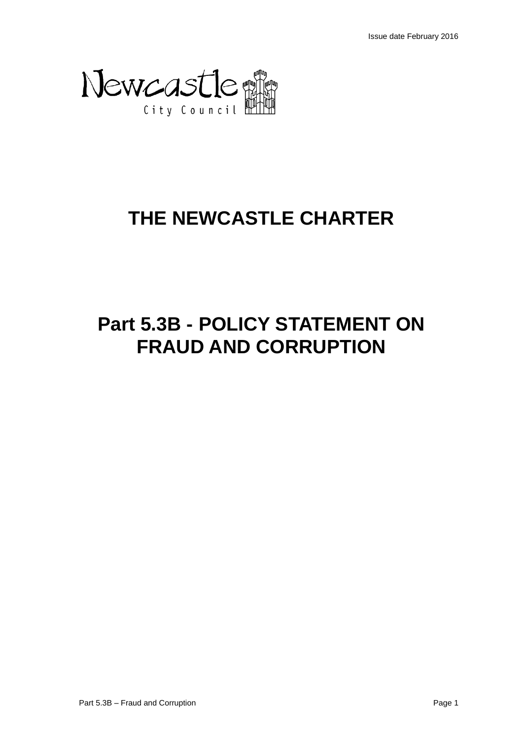

# **THE NEWCASTLE CHARTER**

# **Part 5.3B - POLICY STATEMENT ON FRAUD AND CORRUPTION**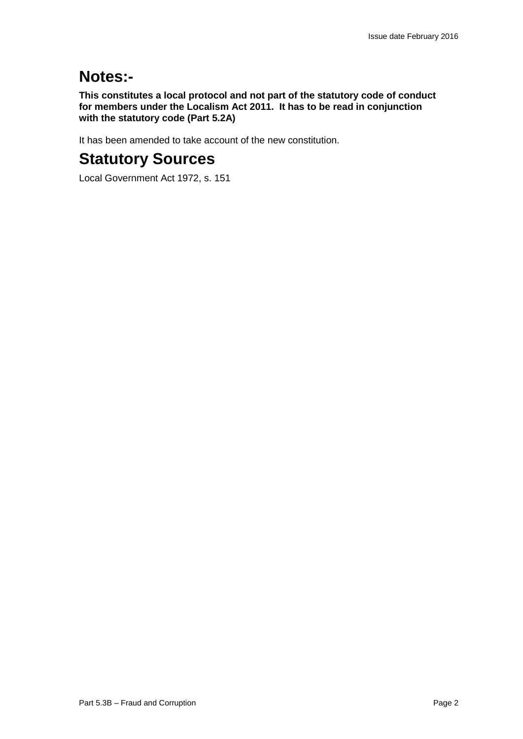# **Notes:-**

**This constitutes a local protocol and not part of the statutory code of conduct for members under the Localism Act 2011. It has to be read in conjunction with the statutory code (Part 5.2A)**

It has been amended to take account of the new constitution.

# **Statutory Sources**

Local Government Act 1972, s. 151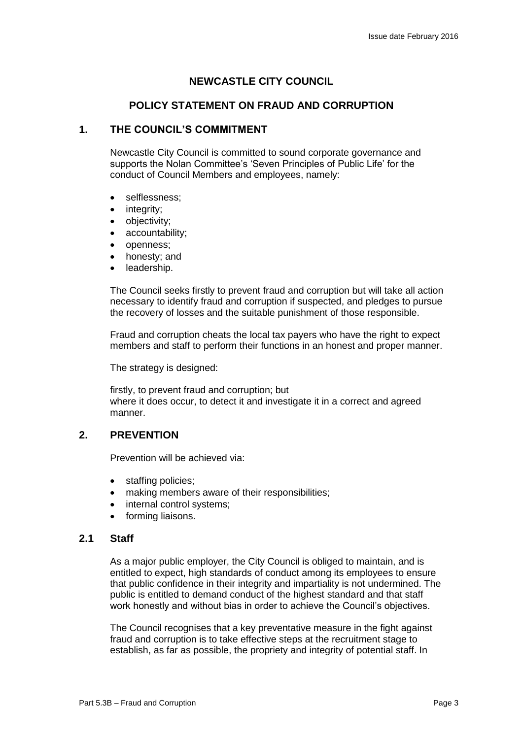# **NEWCASTLE CITY COUNCIL**

# **POLICY STATEMENT ON FRAUD AND CORRUPTION**

## **1. THE COUNCIL'S COMMITMENT**

Newcastle City Council is committed to sound corporate governance and supports the Nolan Committee's 'Seven Principles of Public Life' for the conduct of Council Members and employees, namely:

- selflessness;
- integrity:
- objectivity;
- accountability;
- openness;
- honesty; and
- leadership.

The Council seeks firstly to prevent fraud and corruption but will take all action necessary to identify fraud and corruption if suspected, and pledges to pursue the recovery of losses and the suitable punishment of those responsible.

Fraud and corruption cheats the local tax payers who have the right to expect members and staff to perform their functions in an honest and proper manner.

The strategy is designed:

firstly, to prevent fraud and corruption; but where it does occur, to detect it and investigate it in a correct and agreed manner.

# **2. PREVENTION**

Prevention will be achieved via:

- staffing policies;
- making members aware of their responsibilities;
- internal control systems;
- forming liaisons.

#### **2.1 Staff**

As a major public employer, the City Council is obliged to maintain, and is entitled to expect, high standards of conduct among its employees to ensure that public confidence in their integrity and impartiality is not undermined. The public is entitled to demand conduct of the highest standard and that staff work honestly and without bias in order to achieve the Council's objectives.

The Council recognises that a key preventative measure in the fight against fraud and corruption is to take effective steps at the recruitment stage to establish, as far as possible, the propriety and integrity of potential staff. In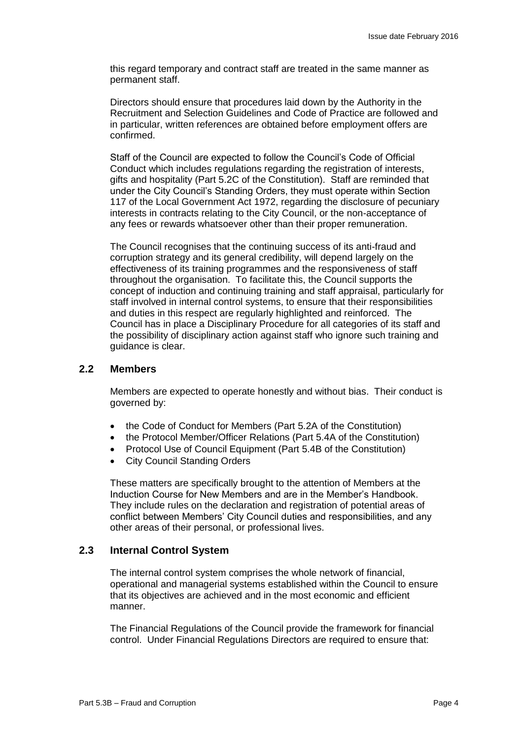this regard temporary and contract staff are treated in the same manner as permanent staff.

Directors should ensure that procedures laid down by the Authority in the Recruitment and Selection Guidelines and Code of Practice are followed and in particular, written references are obtained before employment offers are confirmed.

Staff of the Council are expected to follow the Council's Code of Official Conduct which includes regulations regarding the registration of interests, gifts and hospitality (Part 5.2C of the Constitution). Staff are reminded that under the City Council's Standing Orders, they must operate within Section 117 of the Local Government Act 1972, regarding the disclosure of pecuniary interests in contracts relating to the City Council, or the non-acceptance of any fees or rewards whatsoever other than their proper remuneration.

The Council recognises that the continuing success of its anti-fraud and corruption strategy and its general credibility, will depend largely on the effectiveness of its training programmes and the responsiveness of staff throughout the organisation. To facilitate this, the Council supports the concept of induction and continuing training and staff appraisal, particularly for staff involved in internal control systems, to ensure that their responsibilities and duties in this respect are regularly highlighted and reinforced. The Council has in place a Disciplinary Procedure for all categories of its staff and the possibility of disciplinary action against staff who ignore such training and guidance is clear.

#### **2.2 Members**

Members are expected to operate honestly and without bias. Their conduct is governed by:

- the Code of Conduct for Members (Part 5.2A of the Constitution)
- the Protocol Member/Officer Relations (Part 5.4A of the Constitution)
- Protocol Use of Council Equipment (Part 5.4B of the Constitution)
- City Council Standing Orders

These matters are specifically brought to the attention of Members at the Induction Course for New Members and are in the Member's Handbook. They include rules on the declaration and registration of potential areas of conflict between Members' City Council duties and responsibilities, and any other areas of their personal, or professional lives.

#### **2.3 Internal Control System**

The internal control system comprises the whole network of financial, operational and managerial systems established within the Council to ensure that its objectives are achieved and in the most economic and efficient manner.

The Financial Regulations of the Council provide the framework for financial control. Under Financial Regulations Directors are required to ensure that: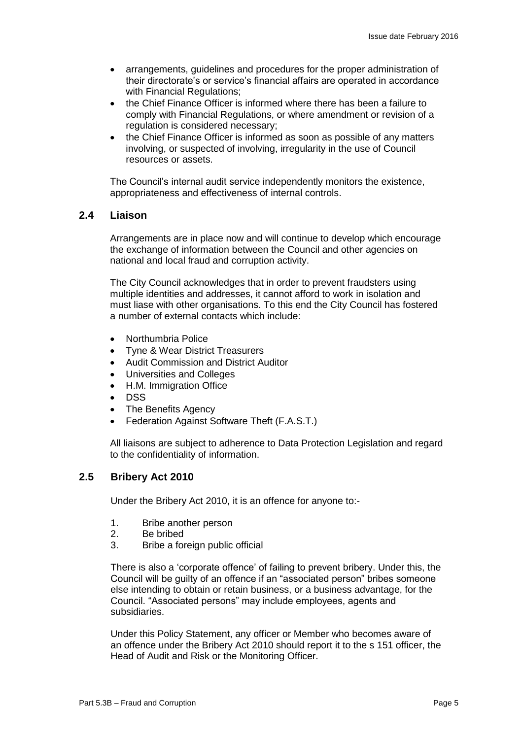- arrangements, guidelines and procedures for the proper administration of their directorate's or service's financial affairs are operated in accordance with Financial Regulations;
- the Chief Finance Officer is informed where there has been a failure to comply with Financial Regulations, or where amendment or revision of a regulation is considered necessary;
- the Chief Finance Officer is informed as soon as possible of any matters involving, or suspected of involving, irregularity in the use of Council resources or assets.

The Council's internal audit service independently monitors the existence, appropriateness and effectiveness of internal controls.

### **2.4 Liaison**

Arrangements are in place now and will continue to develop which encourage the exchange of information between the Council and other agencies on national and local fraud and corruption activity.

The City Council acknowledges that in order to prevent fraudsters using multiple identities and addresses, it cannot afford to work in isolation and must liase with other organisations. To this end the City Council has fostered a number of external contacts which include:

- Northumbria Police
- Tyne & Wear District Treasurers
- Audit Commission and District Auditor
- Universities and Colleges
- H.M. Immigration Office
- DSS
- The Benefits Agency
- Federation Against Software Theft (F.A.S.T.)

All liaisons are subject to adherence to Data Protection Legislation and regard to the confidentiality of information.

## **2.5 Bribery Act 2010**

Under the Bribery Act 2010, it is an offence for anyone to:-

- 1. Bribe another person
- 2. Be bribed
- 3. Bribe a foreign public official

There is also a 'corporate offence' of failing to prevent bribery. Under this, the Council will be guilty of an offence if an "associated person" bribes someone else intending to obtain or retain business, or a business advantage, for the Council. "Associated persons" may include employees, agents and subsidiaries.

Under this Policy Statement, any officer or Member who becomes aware of an offence under the Bribery Act 2010 should report it to the s 151 officer, the Head of Audit and Risk or the Monitoring Officer.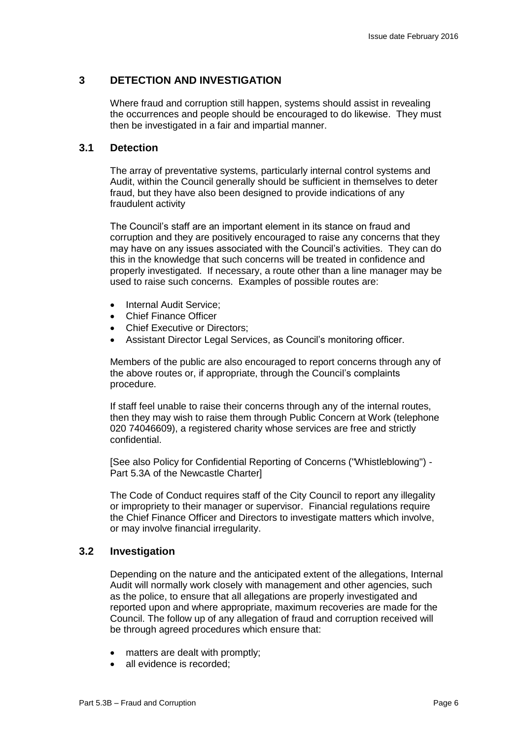## **3 DETECTION AND INVESTIGATION**

Where fraud and corruption still happen, systems should assist in revealing the occurrences and people should be encouraged to do likewise. They must then be investigated in a fair and impartial manner.

#### **3.1 Detection**

The array of preventative systems, particularly internal control systems and Audit, within the Council generally should be sufficient in themselves to deter fraud, but they have also been designed to provide indications of any fraudulent activity

The Council's staff are an important element in its stance on fraud and corruption and they are positively encouraged to raise any concerns that they may have on any issues associated with the Council's activities. They can do this in the knowledge that such concerns will be treated in confidence and properly investigated. If necessary, a route other than a line manager may be used to raise such concerns. Examples of possible routes are:

- Internal Audit Service:
- Chief Finance Officer
- Chief Executive or Directors;
- Assistant Director Legal Services, as Council's monitoring officer.

Members of the public are also encouraged to report concerns through any of the above routes or, if appropriate, through the Council's complaints procedure.

If staff feel unable to raise their concerns through any of the internal routes, then they may wish to raise them through Public Concern at Work (telephone 020 74046609), a registered charity whose services are free and strictly confidential.

[See also Policy for Confidential Reporting of Concerns ("Whistleblowing") - Part 5.3A of the Newcastle Charter]

The Code of Conduct requires staff of the City Council to report any illegality or impropriety to their manager or supervisor. Financial regulations require the Chief Finance Officer and Directors to investigate matters which involve, or may involve financial irregularity.

#### **3.2 Investigation**

Depending on the nature and the anticipated extent of the allegations, Internal Audit will normally work closely with management and other agencies, such as the police, to ensure that all allegations are properly investigated and reported upon and where appropriate, maximum recoveries are made for the Council. The follow up of any allegation of fraud and corruption received will be through agreed procedures which ensure that:

- matters are dealt with promptly;
- all evidence is recorded: